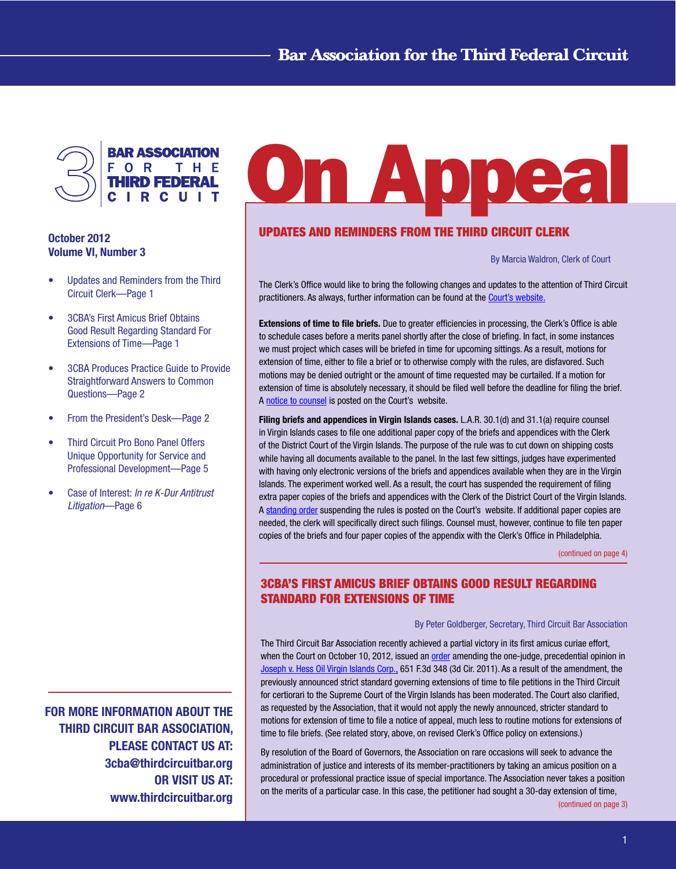<span id="page-0-0"></span>

### October 2012 Volume VI, Number 3

- Updates and Reminders from the Third Circuit Clerk—Page 1
- 3CBA's First Amicus Brief Obtains Good Result Regarding Standard For Extensions of Time—Page 1
- **3CBA Produces Practice Guide to Provide** Straightforward Answers to Common Questions—Page 2
- From the President's Desk-Page 2
- Third Circuit Pro Bono Panel Offers Unique Opportunity for Service and Professional Development—Page 5
- Case of Interest: *In re K-Dur Antitrust Litigation*—Page 6

FOR MORE INFORMATION ABOUT THE THIRD CIRCUIT BAR ASSOCIATION, PLEASE CONTACT US AT: 3cba@thirdcircuitbar.org OR VISIT US AT: www.thirdcircuitbar.org

# On Appea

# UPDATES AND REMINDERS FROM THE THIRD CIRCUIT CLERK

 By Marcia Waldron, Clerk of Court

The Clerk's Office would like to bring the following changes and updates to the attention of Third Circuit practitioners. As always, further information can be found at the Court's [website.](www.ca3.uscourts.gov)

Extensions of time to file briefs. Due to greater efficiencies in processing, the Clerk's Office is able to schedule cases before a merits panel shortly after the close of briefing. In fact, in some instances we must project which cases will be briefed in time for upcoming sittings. As a result, motions for extension of time, either to file a brief or to otherwise comply with the rules, are disfavored. Such motions may be denied outright or the amount of time requested may be curtailed. If a motion for extension of time is absolutely necessary, it should be filed well before the deadline for filing the brief. A notice to [counsel](http://www.ca3.uscourts.gov/Public%20Notices/NOTICE%20TO%20COUNSEL_ExtMot_LAR110.pdf) is posted on the Court's website.

Filing briefs and appendices in Virgin Islands cases. L.A.R. 30.1(d) and 31.1(a) require counsel in Virgin Islands cases to file one additional paper copy of the briefs and appendices with the Clerk of the District Court of the Virgin Islands. The purpose of the rule was to cut down on shipping costs while having all documents available to the panel. In the last few sittings, judges have experimented with having only electronic versions of the briefs and appendices available when they are in the Virgin Islands. The experiment worked well. As a result, the court has suspended the requirement of filing extra paper copies of the briefs and appendices with the Clerk of the District Court of the Virgin Islands. A [standing](http://www.ca3.uscourts.gov/Public%20Notices/Suspend%20LAR30_VI%20Cases.pdf) order suspending the rules is posted on the Court's website. If additional paper copies are needed, the clerk will specifically direct such filings. Counsel must, however, continue to file ten paper copies of the briefs and four paper copies of the appendix with the Clerk's Office in Philadelphia.

[\(continued](#page-3-0) on page 4)

# 3CBA'S FIRST AMICUS BRIEF OBTAINS GOOD RESULT REGARDING STANDARD FOR EXTENSIONS OF TIME

#### By Peter Goldberger, Secretary, Third Circuit Bar Association

The Third Circuit Bar Association recently achieved a partial victory in its first amicus curiae effort, when the Court on October 10, 2012, issued an [order](http://www.ca3.uscourts.gov/opinarch/118026po.pdf) amending the one-judge, precedential opinion in [Joseph](www.ca3.uscourts.gov/opinarch/118026p.pdf) v. Hess Oil Virgin Islands Corp., 651 F.3d 348 (3d Cir. 2011). As a result of the amendment, the previously announced strict standard governing extensions of time to file petitions in the Third Circuit for certiorari to the Supreme Court of the Virgin Islands has been moderated. The Court also clarified, as requested by the Association, that it would not apply the newly announced, stricter standard to motions for extension of time to file a notice of appeal, much less to routine motions for extensions of time to file briefs. (See [related](#page-3-0) story, above, on revised Clerk's Office policy on extensions.)

By resolution of the Board of Governors, the Association on rare occasions will seek to advance the administration of justice and interests of its member-practitioners by taking an amicus position on a procedural or professional practice issue of special importance. The Association never takes a position on the merits of a particular case. In this case, the petitioner had sought a 30-day extension of time,

[\(continued](#page-2-0) on page 3)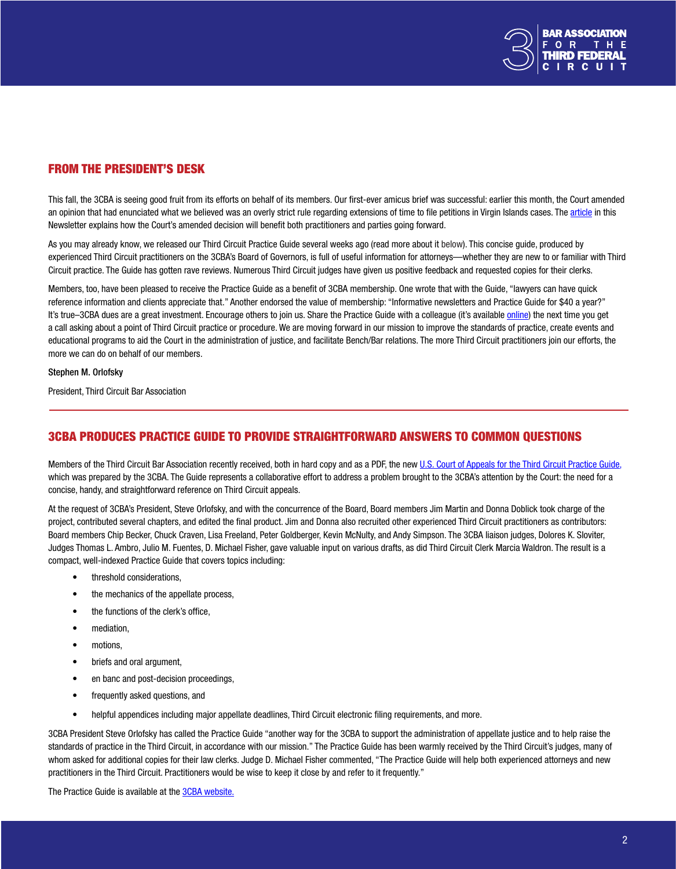

## FROM THE PRESIDENT'S DESK

This fall, the 3CBA is seeing good fruit from its efforts on behalf of its members. Our first-ever amicus brief was successful: earlier this month, the Court amended an opinion that had enunciated what we believed was an overly strict rule regarding extensions of time to file petitions in Virgin Islands cases. The [article](#page-0-0) in this Newsletter explains how the Court's amended decision will benefit both practitioners and parties going forward.

As you may already know, we released our Third Circuit Practice Guide several weeks ago (read more about it below). This concise guide, produced by experienced Third Circuit practitioners on the 3CBA's Board of Governors, is full of useful information for attorneys—whether they are new to or familiar with Third Circuit practice. The Guide has gotten rave reviews. Numerous Third Circuit judges have given us positive feedback and requested copies for their clerks.

Members, too, have been pleased to receive the Practice Guide as a benefit of 3CBA membership. One wrote that with the Guide, "lawyers can have quick reference information and clients appreciate that." Another endorsed the value of membership: "Informative newsletters and Practice Guide for \$40 a year?" It's true–3CBA dues are a great investment. Encourage others to join us. Share the Practice Guide with a colleague (it's available [online\)](http://www.thirdcircuitbar.org/documents/third-circuit-bar-practice-guide.pdf) the next time you get a call asking about a point of Third Circuit practice or procedure. We are moving forward in our mission to improve the standards of practice, create events and educational programs to aid the Court in the administration of justice, and facilitate Bench/Bar relations. The more Third Circuit practitioners join our efforts, the more we can do on behalf of our members.

#### Stephen M. Orlofsky

President, Third Circuit Bar Association

## 3CBA PRODUCES PRACTICE GUIDE TO PROVIDE STRAIGHTFORWARD ANSWERS TO COMMON QUESTIONS

Members of the Third Circuit Bar Association recently received, both in hard copy and as a PDF, the new U.S. Court of Appeals for the Third Circuit [Practice](http://www.thirdcircuitbar.org/documents/third-circuit-bar-practice-guide.pdf) Guide, which was prepared by the 3CBA. The Guide represents a collaborative effort to address a problem brought to the 3CBA's attention by the Court: the need for a concise, handy, and straightforward reference on Third Circuit appeals.

At the request of 3CBA's President, Steve Orlofsky, and with the concurrence of the Board, Board members Jim Martin and Donna Doblick took charge of the project, contributed several chapters, and edited the final product. Jim and Donna also recruited other experienced Third Circuit practitioners as contributors: Board members Chip Becker, Chuck Craven, Lisa Freeland, Peter Goldberger, Kevin McNulty, and Andy Simpson. The 3CBA liaison judges, Dolores K. Sloviter, Judges Thomas L. Ambro, Julio M. Fuentes, D. Michael Fisher, gave valuable input on various drafts, as did Third Circuit Clerk Marcia Waldron. The result is a compact, well-indexed Practice Guide that covers topics including:

- • threshold considerations,
- the mechanics of the appellate process,
- the functions of the clerk's office,
- • mediation,
- motions,
- • briefs and oral argument,
- en banc and post-decision proceedings,
- frequently asked questions, and
- helpful appendices including major appellate deadlines, Third Circuit electronic filing requirements, and more.

3CBA President Steve Orlofsky has called the Practice Guide "another way for the 3CBA to support the administration of appellate justice and to help raise the standards of practice in the Third Circuit, in accordance with our mission." The Practice Guide has been warmly received by the Third Circuit's judges, many of whom asked for additional copies for their law clerks. Judge D. Michael Fisher commented, "The Practice Guide will help both experienced attorneys and new practitioners in the Third Circuit. Practitioners would be wise to keep it close by and refer to it frequently."

The Practice Guide is available at the 3CBA [website.](http://www.thirdcircuitbar.org/)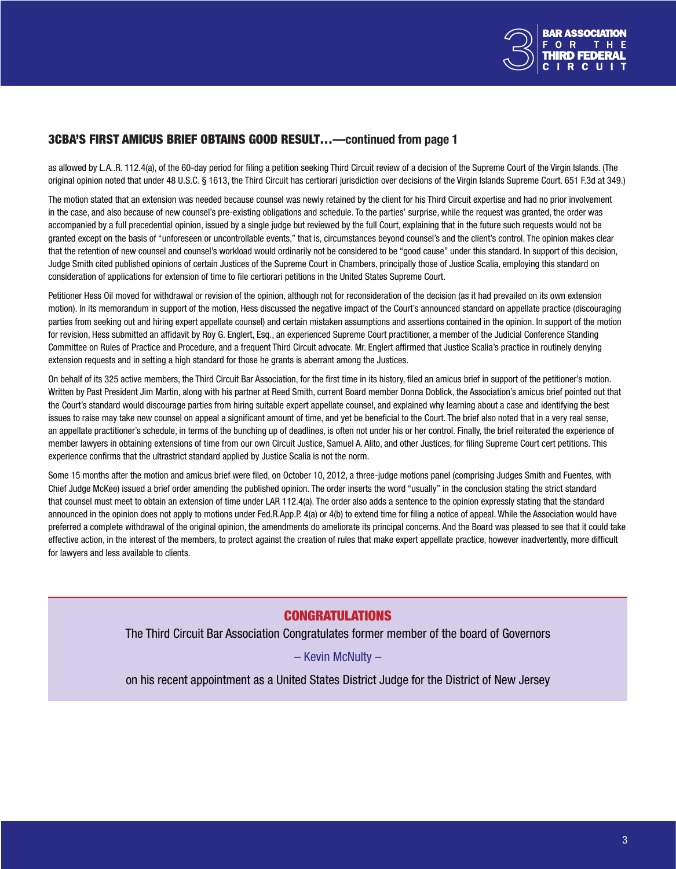

## <span id="page-2-0"></span>3CBA'S FIRST AMICUS BRIEF OBTAINS GOOD RESULT…—continued from page 1

as allowed by L.A..R. 112.4(a), of the 60-day period for filing a petition seeking Third Circuit review of a decision of the Supreme Court of the Virgin Islands. (The original opinion noted that under 48 U.S.C. § 1613, the Third Circuit has certiorari jurisdiction over decisions of the Virgin Islands Supreme Court. 651 F.3d at 349.)

The motion stated that an extension was needed because counsel was newly retained by the client for his Third Circuit expertise and had no prior involvement in the case, and also because of new counsel's pre-existing obligations and schedule. To the parties' surprise, while the request was granted, the order was accompanied by a full precedential opinion, issued by a single judge but reviewed by the full Court, explaining that in the future such requests would not be granted except on the basis of "unforeseen or uncontrollable events," that is, circumstances beyond counsel's and the client's control. The opinion makes clear that the retention of new counsel and counsel's workload would ordinarily not be considered to be "good cause" under this standard. In support of this decision, Judge Smith cited published opinions of certain Justices of the Supreme Court in Chambers, principally those of Justice Scalia, employing this standard on consideration of applications for extension of time to file certiorari petitions in the United States Supreme Court.

Petitioner Hess Oil moved for withdrawal or revision of the opinion, although not for reconsideration of the decision (as it had prevailed on its own extension motion). In its memorandum in support of the motion, Hess discussed the negative impact of the Court's announced standard on appellate practice (discouraging parties from seeking out and hiring expert appellate counsel) and certain mistaken assumptions and assertions contained in the opinion. In support of the motion for revision, Hess submitted an affidavit by Roy G. Englert, Esq., an experienced Supreme Court practitioner, a member of the Judicial Conference Standing Committee on Rules of Practice and Procedure, and a frequent Third Circuit advocate. Mr. Englert affirmed that Justice Scalia's practice in routinely denying extension requests and in setting a high standard for those he grants is aberrant among the Justices.

On behalf of its 325 active members, the Third Circuit Bar Association, for the first time in its history, filed an amicus brief in support of the petitioner's motion. Written by Past President Jim Martin, along with his partner at Reed Smith, current Board member Donna Doblick, the Association's amicus brief pointed out that the Court's standard would discourage parties from hiring suitable expert appellate counsel, and explained why learning about a case and identifying the best issues to raise may take new counsel on appeal a significant amount of time, and yet be beneficial to the Court. The brief also noted that in a very real sense, an appellate practitioner's schedule, in terms of the bunching up of deadlines, is often not under his or her control. Finally, the brief reiterated the experience of member lawyers in obtaining extensions of time from our own Circuit Justice, Samuel A. Alito, and other Justices, for filing Supreme Court cert petitions. This experience confirms that the ultrastrict standard applied by Justice Scalia is not the norm.

Some 15 months after the motion and amicus brief were filed, on October 10, 2012, a three-judge motions panel (comprising Judges Smith and Fuentes, with Chief Judge McKee) issued a brief order amending the published opinion. The order inserts the word "usually" in the conclusion stating the strict standard that counsel must meet to obtain an extension of time under LAR 112.4(a). The order also adds a sentence to the opinion expressly stating that the standard announced in the opinion does not apply to motions under Fed.R.App.P. 4(a) or 4(b) to extend time for filing a notice of appeal. While the Association would have preferred a complete withdrawal of the original opinion, the amendments do ameliorate its principal concerns. And the Board was pleased to see that it could take effective action, in the interest of the members, to protect against the creation of rules that make expert appellate practice, however inadvertently, more difficult for lawyers and less available to clients.

## CONGRATULATIONS

The Third Circuit Bar Association Congratulates former member of the board of Governors

– Kevin McNulty –

on his recent appointment as a United States District Judge for the District of New Jersey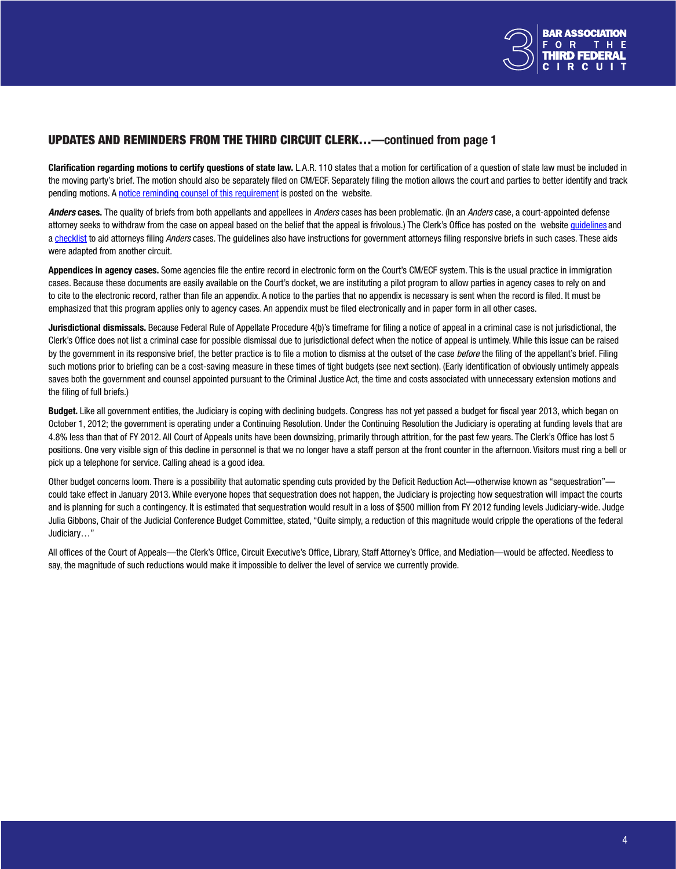

### <span id="page-3-0"></span>UPDATES AND REMINDERS FROM THE THIRD CIRCUIT CLERK…—continued from page 1

Clarification regarding motions to certify questions of state law. L.A.R. 110 states that a motion for certification of a question of state law must be included in the moving party's brief. The motion should also be separately filed on CM/ECF. Separately filing the motion allows the court and parties to better identify and track pending motions. A notice reminding counsel of this [requirement](http://www.ca3.uscourts.gov/Public%20Notices/NOTICE%20TO%20COUNSEL_ExtMot_LAR110.pdf) is posted on the website.

*Anders* cases. The quality of briefs from both appellants and appellees in *Anders* cases has been problematic. (In an *Anders* case, a court-appointed defense attorney seeks to withdraw from the case on appeal based on the belief that the appeal is frivolous.) The Clerk's Office has posted on the website [guidelines](http://www.ca3.uscourts.gov/internet/Forms%20and%20Information%20Sheets/Criminal%20Justice%20Act%20and%20Appointed%20Counsel%20Information/ANDERS%20GUIDELINES%203dCir.pdf) and a [checklist](http://www.ca3.uscourts.gov/internet/Forms%20and%20Information%20Sheets/Criminal%20Justice%20Act%20and%20Appointed%20Counsel%20Information/ANDERS%20CHECKLIST.pdf) to aid attorneys filing *Anders* cases. The guidelines also have instructions for government attorneys filing responsive briefs in such cases. These aids were adapted from another circuit.

Appendices in agency cases. Some agencies file the entire record in electronic form on the Court's CM/ECF system. This is the usual practice in immigration cases. Because these documents are easily available on the Court's docket, we are instituting a pilot program to allow parties in agency cases to rely on and to cite to the electronic record, rather than file an appendix. A notice to the parties that no appendix is necessary is sent when the record is filed. It must be emphasized that this program applies only to agency cases. An appendix must be filed electronically and in paper form in all other cases.

Jurisdictional dismissals. Because Federal Rule of Appellate Procedure 4(b)'s timeframe for filing a notice of appeal in a criminal case is not jurisdictional, the Clerk's Office does not list a criminal case for possible dismissal due to jurisdictional defect when the notice of appeal is untimely. While this issue can be raised by the government in its responsive brief, the better practice is to file a motion to dismiss at the outset of the case *before* the filing of the appellant's brief. Filing such motions prior to briefing can be a cost-saving measure in these times of tight budgets (see next section). (Early identification of obviously untimely appeals saves both the government and counsel appointed pursuant to the Criminal Justice Act, the time and costs associated with unnecessary extension motions and the filing of full briefs.)

Budget. Like all government entities, the Judiciary is coping with declining budgets. Congress has not yet passed a budget for fiscal year 2013, which began on October 1, 2012; the government is operating under a Continuing Resolution. Under the Continuing Resolution the Judiciary is operating at funding levels that are 4.8% less than that of FY 2012. All Court of Appeals units have been downsizing, primarily through attrition, for the past few years. The Clerk's Office has lost 5 positions. One very visible sign of this decline in personnel is that we no longer have a staff person at the front counter in the afternoon. Visitors must ring a bell or pick up a telephone for service. Calling ahead is a good idea.

Other budget concerns loom. There is a possibility that automatic spending cuts provided by the Deficit Reduction Act—otherwise known as "sequestration" could take effect in January 2013. While everyone hopes that sequestration does not happen, the Judiciary is projecting how sequestration will impact the courts and is planning for such a contingency. It is estimated that sequestration would result in a loss of \$500 million from FY 2012 funding levels Judiciary-wide. Judge Julia Gibbons, Chair of the Judicial Conference Budget Committee, stated, "Quite simply, a reduction of this magnitude would cripple the operations of the federal Judiciary…"

All offices of the Court of Appeals—the Clerk's Office, Circuit Executive's Office, Library, Staff Attorney's Office, and Mediation—would be affected. Needless to say, the magnitude of such reductions would make it impossible to deliver the level of service we currently provide.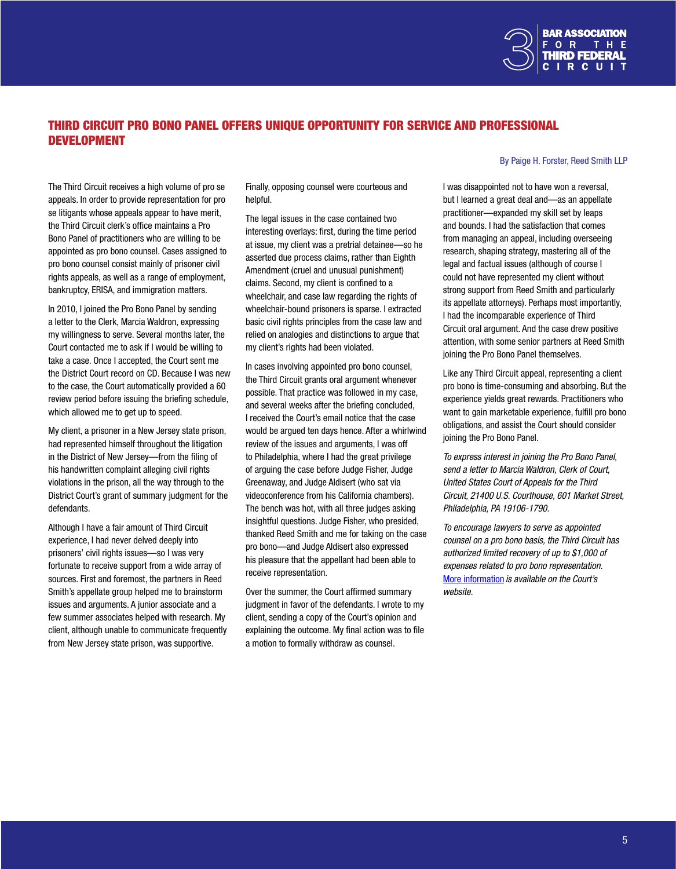

# THIRD CIRCUIT PRO BONO PANEL OFFERS UNIQUE OPPORTUNITY FOR SERVICE AND PROFESSIONAL DEVELOPMENT

The Third Circuit receives a high volume of pro se appeals. In order to provide representation for pro se litigants whose appeals appear to have merit, the Third Circuit clerk's office maintains a Pro Bono Panel of practitioners who are willing to be appointed as pro bono counsel. Cases assigned to pro bono counsel consist mainly of prisoner civil rights appeals, as well as a range of employment, bankruptcy, ERISA, and immigration matters.

In 2010, I joined the Pro Bono Panel by sending a letter to the Clerk, Marcia Waldron, expressing my willingness to serve. Several months later, the Court contacted me to ask if I would be willing to take a case. Once I accepted, the Court sent me the District Court record on CD. Because I was new to the case, the Court automatically provided a 60 review period before issuing the briefing schedule, which allowed me to get up to speed.

My client, a prisoner in a New Jersey state prison, had represented himself throughout the litigation in the District of New Jersey—from the filing of his handwritten complaint alleging civil rights violations in the prison, all the way through to the District Court's grant of summary judgment for the defendants.

Although I have a fair amount of Third Circuit experience, I had never delved deeply into prisoners' civil rights issues—so I was very fortunate to receive support from a wide array of sources. First and foremost, the partners in Reed Smith's appellate group helped me to brainstorm issues and arguments. A junior associate and a few summer associates helped with research. My client, although unable to communicate frequently from New Jersey state prison, was supportive.

Finally, opposing counsel were courteous and helpful.

The legal issues in the case contained two interesting overlays: first, during the time period at issue, my client was a pretrial detainee—so he asserted due process claims, rather than Eighth Amendment (cruel and unusual punishment) claims. Second, my client is confined to a wheelchair, and case law regarding the rights of wheelchair-bound prisoners is sparse. I extracted basic civil rights principles from the case law and relied on analogies and distinctions to argue that my client's rights had been violated.

In cases involving appointed pro bono counsel, the Third Circuit grants oral argument whenever possible. That practice was followed in my case, and several weeks after the briefing concluded, I received the Court's email notice that the case would be argued ten days hence. After a whirlwind review of the issues and arguments, I was off to Philadelphia, where I had the great privilege of arguing the case before Judge Fisher, Judge Greenaway, and Judge Aldisert (who sat via videoconference from his California chambers). The bench was hot, with all three judges asking insightful questions. Judge Fisher, who presided, thanked Reed Smith and me for taking on the case pro bono—and Judge Aldisert also expressed his pleasure that the appellant had been able to receive representation.

Over the summer, the Court affirmed summary judgment in favor of the defendants. I wrote to my client, sending a copy of the Court's opinion and explaining the outcome. My final action was to file a motion to formally withdraw as counsel.

#### By Paige H. Forster, Reed Smith LLP

I was disappointed not to have won a reversal, but I learned a great deal and—as an appellate practitioner—expanded my skill set by leaps and bounds. I had the satisfaction that comes from managing an appeal, including overseeing research, shaping strategy, mastering all of the legal and factual issues (although of course I could not have represented my client without strong support from Reed Smith and particularly its appellate attorneys). Perhaps most importantly, I had the incomparable experience of Third Circuit oral argument. And the case drew positive attention, with some senior partners at Reed Smith joining the Pro Bono Panel themselves.

Like any Third Circuit appeal, representing a client pro bono is time-consuming and absorbing. But the experience yields great rewards. Practitioners who want to gain marketable experience, fulfill pro bono obligations, and assist the Court should consider joining the Pro Bono Panel.

*To express interest in joining the Pro Bono Panel, send a letter to Marcia Waldron, Clerk of Court, United States Court of Appeals for the Third Circuit, 21400 U.S. Courthouse, 601 Market Street, Philadelphia, PA 19106-1790.*

*To encourage lawyers to serve as appointed counsel on a pro bono basis, the Third Circuit has authorized limited recovery of up to \$1,000 of expenses related to pro bono representation.* More [information](http://www.ca3.uscourts.gov/internet/Forms%20and%20Information%20Sheets/Criminal%20Justice%20Act%20and%20Appointed%20Counsel%20Information/probono.pdf) *is available on the Court's website.*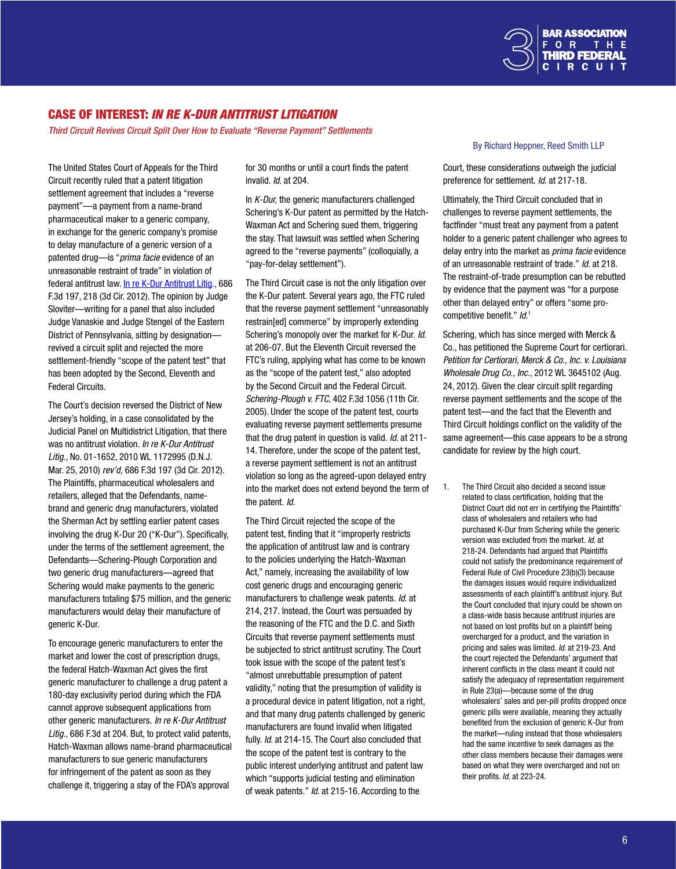

## CASE OF INTEREST: *IN RE K-DUR ANTITRUST LITIGATION*

*Third Circuit Revives Circuit Split Over How to Evaluate "Reverse Payment" Settlements*

The United States Court of Appeals for the Third Circuit recently ruled that a patent litigation settlement agreement that includes a "reverse payment"—a payment from a name-brand pharmaceutical maker to a generic company, in exchange for the generic company's promise to delay manufacture of a generic version of a patented drug—is "*prima facie* evidence of an unreasonable restraint of trade" in violation of federal antitrust law. In re K-Dur [Antitrust](www.ca3.uscourts.gov/opinarch/102077p.pdf) Litig., 686 F.3d 197, 218 (3d Cir. 2012). The opinion by Judge Sloviter—writing for a panel that also included Judge Vanaskie and Judge Stengel of the Eastern District of Pennsylvania, sitting by designation revived a circuit split and rejected the more settlement-friendly "scope of the patent test" that has been adopted by the Second, Eleventh and Federal Circuits.

The Court's decision reversed the District of New Jersey's holding, in a case consolidated by the Judicial Panel on Multidistrict Litigation, that there was no antitrust violation. *In re K-Dur Antitrust Litig*., No. 01-1652, 2010 WL 1172995 (D.N.J. Mar. 25, 2010) *rev'd,* 686 F.3d 197 (3d Cir. 2012). The Plaintiffs, pharmaceutical wholesalers and retailers, alleged that the Defendants, namebrand and generic drug manufacturers, violated the Sherman Act by settling earlier patent cases involving the drug K-Dur 20 ("K-Dur"). Specifically, under the terms of the settlement agreement, the Defendants—Schering-Plough Corporation and two generic drug manufacturers—agreed that Schering would make payments to the generic manufacturers totaling \$75 million, and the generic manufacturers would delay their manufacture of generic K-Dur.

To encourage generic manufacturers to enter the market and lower the cost of prescription drugs, the federal Hatch-Waxman Act gives the first generic manufacturer to challenge a drug patent a 180-day exclusivity period during which the FDA cannot approve subsequent applications from other generic manufacturers. *In re K-Dur Antitrust Litig.*, 686 F.3d at 204. But, to protect valid patents, Hatch-Waxman allows name-brand pharmaceutical manufacturers to sue generic manufacturers for infringement of the patent as soon as they challenge it, triggering a stay of the FDA's approval

for 30 months or until a court finds the patent invalid. *Id*. at 204.

In *K-Dur,* the generic manufacturers challenged Schering's K-Dur patent as permitted by the Hatch-Waxman Act and Schering sued them, triggering the stay. That lawsuit was settled when Schering agreed to the "reverse payments" (colloquially, a "pay-for-delay settlement").

The Third Circuit case is not the only litigation over the K-Dur patent. Several years ago, the FTC ruled that the reverse payment settlement "unreasonably restrain[ed] commerce" by improperly extending Schering's monopoly over the market for K-Dur. *Id*. at 206-07. But the Eleventh Circuit reversed the FTC's ruling, applying what has come to be known as the "scope of the patent test," also adopted by the Second Circuit and the Federal Circuit. *Schering-Plough v. FTC*, 402 F.3d 1056 (11th Cir. 2005). Under the scope of the patent test, courts evaluating reverse payment settlements presume that the drug patent in question is valid. *Id*. at 211- 14. Therefore, under the scope of the patent test, a reverse payment settlement is not an antitrust violation so long as the agreed-upon delayed entry into the market does not extend beyond the term of the patent. *Id.*

The Third Circuit rejected the scope of the patent test, finding that it "improperly restricts the application of antitrust law and is contrary to the policies underlying the Hatch-Waxman Act," namely, increasing the availability of low cost generic drugs and encouraging generic manufacturers to challenge weak patents. *Id*. at 214, 217. Instead, the Court was persuaded by the reasoning of the FTC and the D.C. and Sixth Circuits that reverse payment settlements must be subjected to strict antitrust scrutiny. The Court took issue with the scope of the patent test's "almost unrebuttable presumption of patent validity," noting that the presumption of validity is a procedural device in patent litigation, not a right, and that many drug patents challenged by generic manufacturers are found invalid when litigated fully. *Id*. at 214-15. The Court also concluded that the scope of the patent test is contrary to the public interest underlying antitrust and patent law which "supports judicial testing and elimination of weak patents." *Id*. at 215-16. According to the

#### By Richard Heppner, Reed Smith LLP

Court, these considerations outweigh the judicial preference for settlement. *Id*. at 217-18.

Ultimately, the Third Circuit concluded that in challenges to reverse payment settlements, the factfinder "must treat any payment from a patent holder to a generic patent challenger who agrees to delay entry into the market as *prima facie* evidence of an unreasonable restraint of trade." *Id*. at 218. The restraint-of-trade presumption can be rebutted by evidence that the payment was "for a purpose other than delayed entry" or offers "some procompetitive benefit." *Id.*<sup>1</sup>

Schering, which has since merged with Merck & Co., has petitioned the Supreme Court for certiorari. *Petition for Certiorari, Merck & Co., Inc. v. Louisiana Wholesale Drug Co., Inc.*, 2012 WL 3645102 (Aug. 24, 2012). Given the clear circuit split regarding reverse payment settlements and the scope of the patent test—and the fact that the Eleventh and Third Circuit holdings conflict on the validity of the same agreement—this case appears to be a strong candidate for review by the high court.

1. The Third Circuit also decided a second issue related to class certification, holding that the District Court did not err in certifying the Plaintiffs' class of wholesalers and retailers who had purchased K-Dur from Schering while the generic version was excluded from the market. *Id*. at 218-24. Defendants had argued that Plaintiffs could not satisfy the predominance requirement of Federal Rule of Civil Procedure 23(b)(3) because the damages issues would require individualized assessments of each plaintiff's antitrust injury. But the Court concluded that injury could be shown on a class-wide basis because antitrust injuries are not based on lost profits but on a plaintiff being overcharged for a product, and the variation in pricing and sales was limited. *Id*. at 219-23. And the court rejected the Defendants' argument that inherent conflicts in the class meant it could not satisfy the adequacy of representation requirement in Rule 23(a)—because some of the drug wholesalers' sales and per-pill profits dropped once generic pills were available, meaning they actually benefited from the exclusion of generic K-Dur from the market—ruling instead that those wholesalers had the same incentive to seek damages as the other class members because their damages were based on what they were overcharged and not on their profits. *Id.* at 223-24.